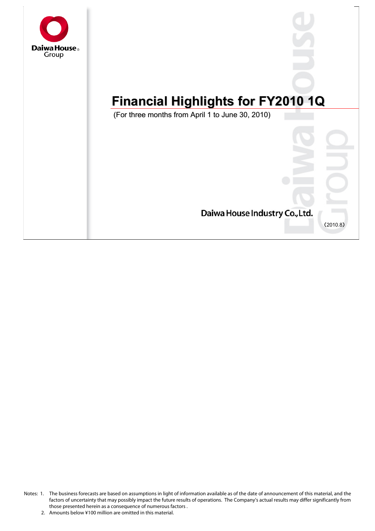

# **Financial Highlights for FY2010 1Q Financial Highlights for FY2010 1Q**

(For three months from April 1 to June 30, 2010) (For three months from April 1 to June 30, 2010)



Notes: 1. The business forecasts are based on assumptions in light of information available as of the date of announcement of this material, and the factors of uncertainty that may possibly impact the future results of operations. The Company's actual results may differ significantly from those presented herein as a consequence of numerous factors .

<sup>2.</sup> Amounts below ¥100 million are omitted in this material.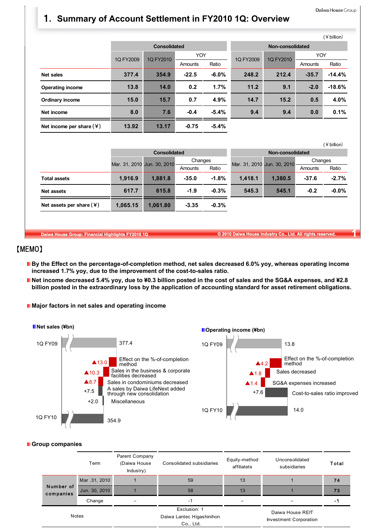$(Y$  hillion)

# 1**. Summary of Account Settlement in FY2010 1Q: Overview**

|                            |           |                     |         |          |                  |           |         | (¥ billion) |
|----------------------------|-----------|---------------------|---------|----------|------------------|-----------|---------|-------------|
|                            |           | <b>Consolidated</b> |         |          | Non-consolidated |           |         |             |
|                            | 1Q FY2009 | 1Q FY2010           | YOY     |          | 1Q FY2009        | 1Q FY2010 | YOY     |             |
|                            |           |                     | Amounts | Ratio    |                  |           | Amounts | Ratio       |
| <b>Net sales</b>           | 377.4     | 354.9               | $-22.5$ | $-6.0\%$ | 248.2            | 212.4     | $-35.7$ | $-14.4%$    |
| <b>Operating income</b>    | 13.8      | 14.0                | 0.2     | 1.7%     | 11.2             | 9.1       | $-2.0$  | $-18.6%$    |
| Ordinary income            | 15.0      | 15.7                | 0.7     | 4.9%     | 14.7             | 15.2      | 0.5     | 4.0%        |
| Net income                 | 8.0       | 7.6                 | $-0.4$  | $-5.4%$  | 9.4              | 9.4       | 0.0     | 0.1%        |
| Net income per share $(Y)$ | 13.92     | 13.17               | $-0.75$ | $-5.4%$  |                  |           |         |             |

|                            |          |                             |         |         |                             |                  |         | שוווע ד  |
|----------------------------|----------|-----------------------------|---------|---------|-----------------------------|------------------|---------|----------|
|                            |          | <b>Consolidated</b>         |         |         |                             | Non-consolidated |         |          |
|                            |          | Mar. 31, 2010 Jun. 30, 2010 | Changes |         | Mar. 31, 2010 Jun. 30, 2010 |                  | Changes |          |
|                            |          |                             | Amounts | Ratio   |                             |                  | Amounts | Ratio    |
| <b>Total assets</b>        | 1,916.9  | 1.881.8                     | $-35.0$ | $-1.8%$ | 1.418.1                     | 1.380.5          | $-37.6$ | $-2.7%$  |
| <b>Net assets</b>          | 617.7    | 615.8                       | $-1.9$  | $-0.3%$ | 545.3                       | 545.1            | $-0.2$  | $-0.0\%$ |
| Net assets per share $(4)$ | 1,065.15 | 1,061.80                    | $-3.35$ | $-0.3%$ |                             |                  |         |          |

**Daiwa House Group: Financial Highlights FY2010 1Q © 2010 Daiwa House Industry Co., Ltd. All rights reserved. 1**

### 【MEMO】

- By the Effect on the percentage-of-completion method, net sales decreased 6.0% yoy, whereas operating income **increased 1.7% yoy, due to the improvement of the cost-to-sales ratio.**
- **Net income decreased 5.4% yoy, due to ¥0.3 billion posted in the cost of sales and the SG&A expenses, and ¥2.8 billion posted in the extraordinary loss by the application of accounting standard for asset retirement obligations.**
- **Major factors in net sales and operating income**



#### **Group companies**

|                        | Term          | Parent Company<br>(Daiwa House<br>Industry) | Consolidated subsidiaries                              | Equity-method<br>affiliatets | Unconsolidated<br>subsidiaries                    | Total |
|------------------------|---------------|---------------------------------------------|--------------------------------------------------------|------------------------------|---------------------------------------------------|-------|
|                        | Mar .31, 2010 |                                             | 59                                                     | 13                           |                                                   | 74    |
| Number of<br>companies | Jun. 30, 2010 |                                             | 58                                                     | 13                           |                                                   | 73    |
|                        | Change        |                                             | $-1$                                                   |                              |                                                   | -1    |
|                        | <b>Notes</b>  |                                             | Exclusion: 1<br>Daiwa Lantec Higashinihon<br>Co., Ltd. |                              | Daiwa House REIT<br><b>Investment Corporation</b> |       |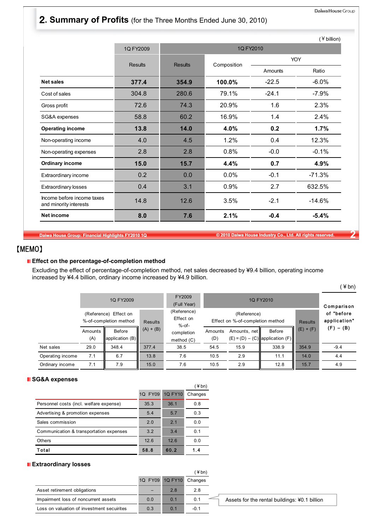# 2**. Summary of Profits** (for the Three Months Ended June 30, 2010)

|                                                      |                |                |             |            | $($ ¥ billion) |  |  |
|------------------------------------------------------|----------------|----------------|-------------|------------|----------------|--|--|
|                                                      | 1Q FY2009      |                |             | 1Q FY2010  |                |  |  |
|                                                      | <b>Results</b> | <b>Results</b> |             | <b>YOY</b> |                |  |  |
|                                                      |                |                | Composition | Amounts    | Ratio          |  |  |
| <b>Net sales</b>                                     | 377.4          | 354.9          | 100.0%      | $-22.5$    | $-6.0%$        |  |  |
| Cost of sales                                        | 304.8          | 280.6          | 79.1%       | $-24.1$    | $-7.9%$        |  |  |
| Gross profit                                         | 72.6           | 74.3           | 20.9%       | 1.6        | 2.3%           |  |  |
| SG&A expenses                                        | 58.8           | 60.2           | 16.9%       | 1.4        | 2.4%           |  |  |
| <b>Operating income</b>                              | 13.8           | 14.0           | 4.0%        | 0.2        | 1.7%           |  |  |
| Non-operating income                                 | 4.0            | 4.5            | 1.2%        | 0.4        | 12.3%          |  |  |
| Non-operating expenses                               | 2.8            | 2.8            | 0.8%        | $-0.0$     | $-0.1%$        |  |  |
| <b>Ordinary income</b>                               | 15.0           | 15.7           | 4.4%        | 0.7        | 4.9%           |  |  |
| Extraordinary income                                 | 0.2            | 0.0            | 0.0%        | $-0.1$     | $-71.3%$       |  |  |
| <b>Extraordinary losses</b>                          | 0.4            | 3.1            | 0.9%        | 2.7        | 632.5%         |  |  |
| Income before income taxes<br>and minority interests | 14.8           | 12.6           | 3.5%        | $-2.1$     | $-14.6%$       |  |  |
| <b>Net income</b>                                    | 8.0            | 7.6            | 2.1%        | $-0.4$     | $-5.4%$        |  |  |

**Daiwa House Group: Financial Highlights FY2010 1Q © 2010 Daiwa House Industry Co., Ltd. All rights reserved. 2**

### 【MEMO】

#### **E** Effect on the percentage-of-completion method

Excluding the effect of percentage-of-completion method, net sales decreased by ¥9.4 billion, operating income increased by ¥4.4 billion, ordinary income increased by ¥4.9 billion.

|                  |                | 1Q FY2009                                       |                | FY2009<br>(Full Year)                |                |                                                 | 1Q FY2010                                     |                | Comparison                 |
|------------------|----------------|-------------------------------------------------|----------------|--------------------------------------|----------------|-------------------------------------------------|-----------------------------------------------|----------------|----------------------------|
|                  |                | (Reference) Effect on<br>%-of-completion method | <b>Results</b> | (Reference)<br>Effect on<br>$%$ -of- |                | (Reference)<br>Effect on %-of-completion method |                                               | <b>Results</b> | of "before<br>application" |
|                  | Amounts<br>(A) | Before<br>application $(B)$                     | $(A) + (B)$    | completion<br>method $(C)$           | Amounts<br>(D) | Amounts, net                                    | Before<br>$(E) = (D) - (C)$ application $(F)$ | $(E) + (F)$    | $(F) - (B)$                |
| Net sales        | 29.0           | 348.4                                           | 377.4          | 38.5                                 | 54.5           | 15.9                                            | 338.9                                         | 354.9          | $-9.4$                     |
| Operating income | 7.1            | 6.7                                             | 13.8           | 7.6                                  | 10.5           | 2.9                                             | 11.1                                          | 14.0           | 4.4                        |
| Ordinary income  | 7.1            | 7.9                                             | 15.0           | 7.6                                  | 10.5           | 2.9                                             | 12.8                                          | 15.7           | 4.9                        |

#### **SG&A expenses**

| . <b>.</b>                              |         |                | ¥ bn)   |
|-----------------------------------------|---------|----------------|---------|
|                                         | 1Q FY09 | <b>1Q FY10</b> | Changes |
| Personnel costs (incl. welfare expense) | 35.3    | 36.1           | 0.8     |
| Advertising & promotion expenses        | 5.4     | 5.7            | 0.3     |
| Sales commission                        | 2.0     | 2 <sub>1</sub> | 0.0     |
| Communication & transportation expenses | 3.2     | 3.4            | 0.1     |
| <b>Others</b>                           | 12.6    | 12.6           | 0.0     |
| Total                                   | 58.8    | 60.2           | 1.4     |

#### **Extraordinary losses**

|     |     | (¥bn)   |                 |
|-----|-----|---------|-----------------|
|     |     | Changes |                 |
|     | 2.8 | 2.8     |                 |
| 0.0 | 0.1 | 0.1     |                 |
| 0.3 | 0.1 | $-0.1$  |                 |
|     |     |         | 1Q FY09 1Q FY10 |

Assets for the rental buildings: ¥0.1 billion

 $($  \ine bn)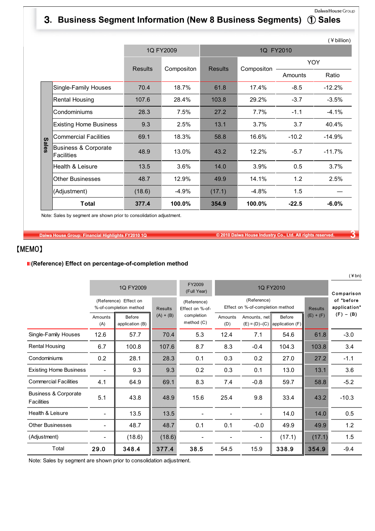# 3**. Business Segment Information (New 8 Business Segments)** ① **Sales**

Daiwa House Group

|              |                                                      |                |                              |        |            |            | (¥ billion) |
|--------------|------------------------------------------------------|----------------|------------------------------|--------|------------|------------|-------------|
|              |                                                      |                | 1Q FY2009                    |        | 1Q FY2010  |            |             |
|              |                                                      | <b>Results</b> | <b>Results</b><br>Compositon |        | Compositon | <b>YOY</b> |             |
|              |                                                      |                |                              |        |            | Amounts    | Ratio       |
|              | Single-Family Houses                                 | 70.4           | 18.7%                        | 61.8   | 17.4%      | $-8.5$     | $-12.2%$    |
|              | Rental Housing                                       | 107.6          | 28.4%                        | 103.8  | 29.2%      | $-3.7$     | $-3.5%$     |
|              | Condominiums                                         | 28.3           | 7.5%                         | 27.2   | 7.7%       | $-1.1$     | $-4.1%$     |
|              | <b>Existing Home Business</b>                        | 9.3            | 2.5%                         | 13.1   | 3.7%       | 3.7        | 40.4%       |
|              | <b>Commercial Facilities</b>                         | 69.1           | 18.3%                        | 58.8   | 16.6%      | $-10.2$    | $-14.9%$    |
| <b>Sales</b> | <b>Business &amp; Corporate</b><br><b>Facilities</b> | 48.9           | 13.0%                        | 43.2   | 12.2%      | $-5.7$     | $-11.7%$    |
|              | Health & Leisure                                     | 13.5           | 3.6%                         | 14.0   | 3.9%       | 0.5        | 3.7%        |
|              | <b>Other Businesses</b>                              | 48.7           | 12.9%                        | 49.9   | 14.1%      | 1.2        | 2.5%        |
|              | (Adjustment)                                         | (18.6)         | -4.9%                        | (17.1) | $-4.8%$    | 1.5        |             |
|              | <b>Total</b>                                         | 377.4          | 100.0%                       | 354.9  | 100.0%     | $-22.5$    | $-6.0%$     |

Note: Sales by segment are shown prior to consolidation adjustment.

**Daiwa House Group: Financial Highlights FY2010 1Q © 2010 Daiwa House Industry Co., Ltd. All rights reserved. 3**

### 【MEMO】

#### **(Reference) Effect on percentage-of-completion method**

|                                                      |                          | 1Q FY2009                                       |             | FY2009<br>(Full Year)                            |                |                                                 | 1Q FY2010                                     |             | $\sqrt{2}$<br>Comparison   |
|------------------------------------------------------|--------------------------|-------------------------------------------------|-------------|--------------------------------------------------|----------------|-------------------------------------------------|-----------------------------------------------|-------------|----------------------------|
|                                                      |                          | (Reference) Effect on<br>%-of-completion method |             | (Reference)<br><b>Results</b><br>Effect on %-of- |                | (Reference)<br>Effect on %-of-completion method |                                               |             | of "before<br>application" |
|                                                      | Amounts<br>(A)           | Before<br>application (B)                       | $(A) + (B)$ | completion<br>method $(C)$                       | Amounts<br>(D) | Amounts, net                                    | Before<br>$(E) = (D) - (C)$ application $(F)$ | $(E) + (F)$ | $(F) - (B)$                |
| Single-Family Houses                                 | 12.6                     | 57.7                                            | 70.4        | 5.3                                              | 12.4           | 7.1                                             | 54.6                                          | 61.8        | $-3.0$                     |
| <b>Rental Housing</b>                                | 6.7                      | 100.8                                           | 107.6       | 8.7                                              | 8.3            | $-0.4$                                          | 104.3                                         | 103.8       | 3.4                        |
| Condominiums                                         | 0.2                      | 28.1                                            | 28.3        | 0.1                                              | 0.3            | 0.2                                             | 27.0                                          | 27.2        | $-1.1$                     |
| <b>Existing Home Business</b>                        | $\overline{\phantom{a}}$ | 9.3                                             | 9.3         | 0.2                                              | 0.3            | 0.1                                             | 13.0                                          | 13.1        | 3.6                        |
| <b>Commercial Facilities</b>                         | 4.1                      | 64.9                                            | 69.1        | 8.3                                              | 7.4            | $-0.8$                                          | 59.7                                          | 58.8        | $-5.2$                     |
| <b>Business &amp; Corporate</b><br><b>Facilities</b> | 5.1                      | 43.8                                            | 48.9        | 15.6                                             | 25.4           | 9.8                                             | 33.4                                          | 43.2        | $-10.3$                    |
| Health & Leisure                                     |                          | 13.5                                            | 13.5        |                                                  |                | $\overline{\phantom{a}}$                        | 14.0                                          | 14.0        | 0.5                        |
| <b>Other Businesses</b>                              |                          | 48.7                                            | 48.7        | 0.1                                              | 0.1            | $-0.0$                                          | 49.9                                          | 49.9        | 1.2                        |
| (Adjustment)                                         |                          | (18.6)                                          | (18.6)      |                                                  |                | $\overline{\phantom{a}}$                        | (17.1)                                        | (17.1)      | 1.5                        |
| Total                                                | 29.0                     | 348.4                                           | 377.4       | 38.5                                             | 54.5           | 15.9                                            | 338.9                                         | 354.9       | $-9.4$                     |

Note: Sales by segment are shown prior to consolidation adjustment.

 $(X \text{hn})$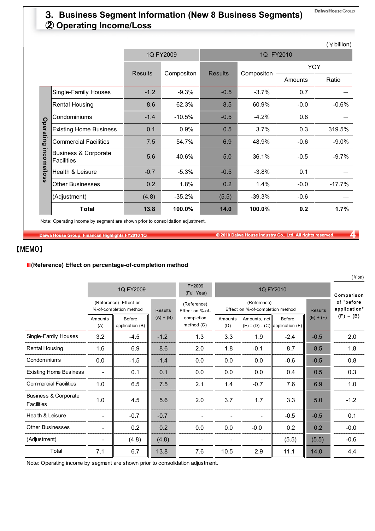# 3**. Business Segment Information (New 8 Business Segments)** ② **Operating Income/Loss**

|             |                                                      |                |            |                |            |         | (¥ billion) |
|-------------|------------------------------------------------------|----------------|------------|----------------|------------|---------|-------------|
|             |                                                      |                | 1Q FY2009  |                | 1Q FY2010  |         |             |
|             |                                                      | <b>Results</b> | Compositon | <b>Results</b> | Compositon |         | <b>YOY</b>  |
|             |                                                      |                |            |                |            | Amounts | Ratio       |
|             | Single-Family Houses                                 | $-1.2$         | $-9.3%$    | $-0.5$         | $-3.7%$    | 0.7     |             |
|             | <b>Rental Housing</b>                                | 8.6            | 62.3%      | 8.5            | 60.9%      | $-0.0$  | $-0.6%$     |
|             | Condominiums                                         | $-1.4$         | $-10.5%$   | $-0.5$         | $-4.2%$    | 0.8     |             |
| Operating   | <b>Existing Home Business</b>                        | 0.1            | 0.9%       | 0.5            | 3.7%       | 0.3     | 319.5%      |
|             | <b>Commercial Facilities</b>                         | 7.5            | 54.7%      | 6.9            | 48.9%      | $-0.6$  | $-9.0\%$    |
| income/loss | <b>Business &amp; Corporate</b><br><b>Facilities</b> | 5.6            | 40.6%      | 5.0            | 36.1%      | $-0.5$  | $-9.7%$     |
|             | Health & Leisure                                     | $-0.7$         | $-5.3%$    | $-0.5$         | $-3.8%$    | 0.1     |             |
|             | <b>Other Businesses</b>                              | 0.2            | 1.8%       | 0.2            | 1.4%       | $-0.0$  | $-17.7%$    |
|             | (Adjustment)                                         | (4.8)          | $-35.2%$   | (5.5)          | $-39.3%$   | $-0.6$  |             |
|             | <b>Total</b>                                         | 13.8           | 100.0%     | 14.0           | 100.0%     | 0.2     | 1.7%        |

Note: Operating income by segment are shown prior to consolidation adjustment.

**Daiwa House Group: Financial Highlights FY2010 1Q © 2010 Daiwa House Industry Co., Ltd. All rights reserved. 4**

### 【MEMO】

#### **(Reference) Effect on percentage-of-completion method**

|                                                      |                                                 | 1Q FY2009                 |                | FY2009<br>(Full Year)          | 1Q FY2010      |                                                 |                                               |                            |             |
|------------------------------------------------------|-------------------------------------------------|---------------------------|----------------|--------------------------------|----------------|-------------------------------------------------|-----------------------------------------------|----------------------------|-------------|
|                                                      | (Reference) Effect on<br>%-of-completion method |                           | <b>Results</b> | (Reference)<br>Effect on %-of- |                | (Reference)<br>Effect on %-of-completion method | <b>Results</b>                                | of "before<br>application" |             |
|                                                      | Amounts<br>(A)                                  | Before<br>application (B) | $(A) + (B)$    | completion<br>method $(C)$     | Amounts<br>(D) | Amounts, net                                    | Before<br>$(E) = (D) - (C)$ application $(F)$ | $(E) + (F)$                | $(F) - (B)$ |
| Single-Family Houses                                 | 3.2                                             | $-4.5$                    | $-1.2$         | 1.3                            | 3.3            | 1.9                                             | $-2.4$                                        | $-0.5$                     | 2.0         |
| Rental Housing                                       | 1.6                                             | 6.9                       | 8.6            | 2.0                            | 1.8            | $-0.1$                                          | 8.7                                           | 8.5                        | 1.8         |
| Condominiums                                         | 0.0                                             | $-1.5$                    | $-1.4$         | 0.0                            | 0.0            | 0.0                                             | $-0.6$                                        | $-0.5$                     | 0.8         |
| <b>Existing Home Business</b>                        |                                                 | 0.1                       | 0.1            | 0.0                            | 0.0            | 0.0                                             | 0.4                                           | 0.5                        | 0.3         |
| <b>Commercial Facilities</b>                         | 1.0                                             | 6.5                       | 7.5            | 2.1                            | 1.4            | $-0.7$                                          | 7.6                                           | 6.9                        | 1.0         |
| <b>Business &amp; Corporate</b><br><b>Facilities</b> | 1.0                                             | 4.5                       | 5.6            | 2.0                            | 3.7            | 1.7                                             | 3.3                                           | 5.0                        | $-1.2$      |
| Health & Leisure                                     |                                                 | $-0.7$                    | $-0.7$         |                                |                | $\overline{\phantom{a}}$                        | $-0.5$                                        | $-0.5$                     | 0.1         |
| <b>Other Businesses</b>                              | -                                               | 0.2                       | 0.2            | 0.0                            | 0.0            | $-0.0$                                          | 0.2                                           | 0.2                        | $-0.0$      |
| (Adjustment)                                         | ۰                                               | (4.8)                     | (4.8)          |                                |                | $\overline{\phantom{a}}$                        | (5.5)                                         | (5.5)                      | $-0.6$      |
| Total                                                | 7.1                                             | 6.7                       | 13.8           | 7.6                            | 10.5           | 2.9                                             | 11.1                                          | 14.0                       | 4.4         |

Note: Operating income by segment are shown prior to consolidation adjustment.

 $($  \ine bn)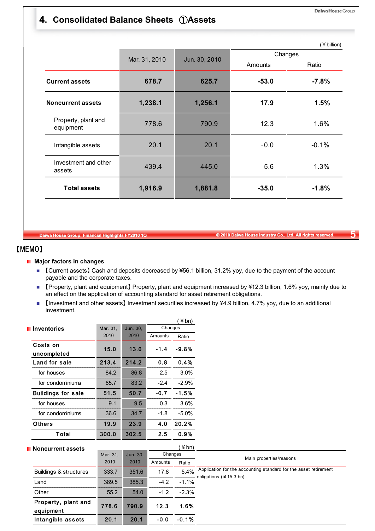# 4**. Consolidated Balance Sheets** ①**Assets**

|                                  |               |               | Changes |         |  |  |
|----------------------------------|---------------|---------------|---------|---------|--|--|
|                                  | Mar. 31, 2010 | Jun. 30, 2010 | Amounts | Ratio   |  |  |
| <b>Current assets</b>            | 678.7         | 625.7         | $-53.0$ | $-7.8%$ |  |  |
| <b>Noncurrent assets</b>         | 1,238.1       | 1,256.1       | 17.9    | 1.5%    |  |  |
| Property, plant and<br>equipment | 778.6         | 790.9         | 12.3    | 1.6%    |  |  |
| Intangible assets                | 20.1          | 20.1          | $-0.0$  | $-0.1%$ |  |  |
| Investment and other<br>assets   | 439.4         | 445.0         | 5.6     | 1.3%    |  |  |
| <b>Total assets</b>              | 1,916.9       | 1,881.8       | $-35.0$ | $-1.8%$ |  |  |

**Daiwa House Group: Financial Highlights FY2010 1Q © 2010 Daiwa House Industry Co., Ltd. All rights reserved. 5**

### 【MEMO】

#### **Major factors in changes**

- 【Current assets】 Cash and deposits decreased by ¥56.1 billion, 31.2% yoy, due to the payment of the account payable and the corporate taxes.
- 【Property, plant and equipment】 Property, plant and equipment increased by ¥12.3 billion, 1.6% yoy, mainly due to an effect on the application of accounting standard for asset retirement obligations.
- 【Investment and other assets】 Investment securities increased by ¥4.9 billion, 4.7% yoy, due to an additional investment.

|                                  |          |          |         | $4$ bn) |                                                                                            |
|----------------------------------|----------|----------|---------|---------|--------------------------------------------------------------------------------------------|
| <b>I</b> Inventories             | Mar. 31, | Jun. 30, | Changes |         |                                                                                            |
|                                  | 2010     | 2010     | Amounts | Ratio   |                                                                                            |
| Costs on                         | 15.0     | 13.6     | $-1.4$  | $-9.8%$ |                                                                                            |
| uncompleted                      |          |          |         |         |                                                                                            |
| Land for sale                    | 213.4    | 214.2    | 0.8     | 0.4%    |                                                                                            |
| for houses                       | 84.2     | 86.8     | 2.5     | 3.0%    |                                                                                            |
| for condominiums                 | 85.7     | 83.2     | $-2.4$  | $-2.9%$ |                                                                                            |
| <b>Buildings for sale</b>        | 51.5     | 50.7     | $-0.7$  | $-1.5%$ |                                                                                            |
| for houses                       | 9.1      | 9.5      | 0.3     | 3.6%    |                                                                                            |
| for condominiums                 | 36.6     | 34.7     | $-1.8$  | $-5.0%$ |                                                                                            |
| <b>Others</b>                    | 19.9     | 23.9     | 4.0     | 20.2%   |                                                                                            |
| <b>Total</b>                     | 300.0    | 302.5    | 2.5     | 0.9%    |                                                                                            |
| Noncurrent assets                |          |          |         | (¥bn)   |                                                                                            |
|                                  | Mar. 31, | Jun. 30, | Changes |         | Main properties/reasons                                                                    |
|                                  | 2010     | 2010     | Amounts | Ratio   |                                                                                            |
| Buildings & structures           | 333.7    | 351.6    | 17.8    | 5.4%    | Application for the accounting standard for the asset retirement<br>obligations (¥15.3 bn) |
| Land                             | 389.5    | 385.3    | $-4.2$  | $-1.1%$ |                                                                                            |
| Other                            | 55.2     | 54.0     | $-1.2$  | $-2.3%$ |                                                                                            |
| Property, plant and<br>equipment | 778.6    | 790.9    | 12.3    | 1.6%    |                                                                                            |
| Intangible assets                | 20.1     | 20.1     | $-0.0$  | $-0.1%$ |                                                                                            |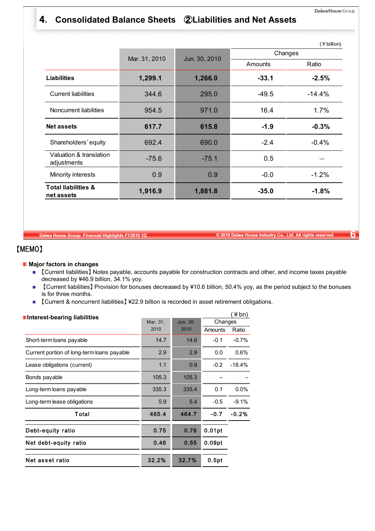### 4**. Consolidated Balance Sheets** ②**Liabilities and Net Assets**

|                                              |               |               |         | (¥ billion) |
|----------------------------------------------|---------------|---------------|---------|-------------|
|                                              | Mar. 31, 2010 | Jun. 30, 2010 |         | Changes     |
|                                              |               |               | Amounts | Ratio       |
| <b>Liabilities</b>                           | 1,299.1       | 1,266.0       | $-33.1$ | $-2.5%$     |
| <b>Current liabilities</b>                   | 344.6         | 295.0         | $-49.5$ | $-14.4%$    |
| Noncurrent liabilities                       | 954.5         | 971.0         | 16.4    | 1.7%        |
| <b>Net assets</b>                            | 617.7         | 615.8         | $-1.9$  | $-0.3%$     |
| Shareholders' equity                         | 692.4         | 690.0         | $-2.4$  | $-0.4%$     |
| Valuation & translation<br>adjustments       | $-75.6$       | $-75.1$       | 0.5     |             |
| Minority interests                           | 0.9           | 0.9           | $-0.0$  | $-1.2%$     |
| <b>Total liabilities &amp;</b><br>net assets | 1,916.9       | 1,881.8       | $-35.0$ | $-1.8%$     |

**Daiwa House Group: Financial Highlights FY2010 1Q © 2010 Daiwa House Industry Co., Ltd. All rights reserved. 6**

### 【MEMO】

#### **Major factors in changes**

- 【Current liabilities】 Notes payable, accounts payable for construction contracts and other, and income taxes payable decreased by ¥46.9 billion, 34.1% yoy.
- 【Current liabilities】 Provision for bonuses decreased by ¥10.6 billion, 50.4% yoy, as the period subject to the bonuses is for three months.
- 【Current & noncurrent liabilities】 ¥22.9 billion is recorded in asset retirement obligations.

| Interest-bearing liabilities               |          |          |         | ¥bn)     |
|--------------------------------------------|----------|----------|---------|----------|
|                                            | Mar. 31, | Jun. 30, | Changes |          |
|                                            | 2010     | 2010     | Amounts | Ratio    |
| Short-term loans payable                   | 14.7     | 14.6     | $-0.1$  | $-0.7%$  |
| Current portion of long-term loans payable | 2.9      | 2.9      | 0.0     | 0.6%     |
| Lease obligations (current)                | 1.1      | 0.9      | $-0.2$  | $-18.4%$ |
| Bonds payable                              | 105.3    | 105.3    |         |          |
| Long-term loans payable                    | 335.3    | 335.4    | 0.1     | 0.0%     |
| Long-term lease obligations                | 5.9      | 5.4      | $-0.5$  | $-9.1%$  |
| Total                                      | 465.4    | 464.7    | $-0.7$  | $-0.2%$  |
| Debt-equity ratio                          | 0.75     | 0.76     | 0.01pt  |          |
| Net debt-equity ratio                      | 0.46     | 0.55     | 0.09pt  |          |
| Net asset ratio                            | 32.2%    | 32.7%    | 0.5pt   |          |
|                                            |          |          |         |          |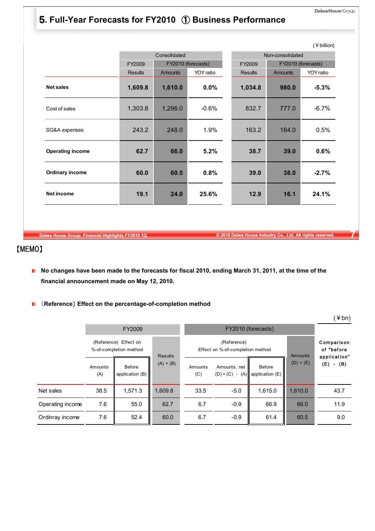# 5**. Full-Year Forecasts for FY2010** ① **Business Performance**

|                         |                |                |                    |                |                    | (¥ billion) |
|-------------------------|----------------|----------------|--------------------|----------------|--------------------|-------------|
|                         |                | Consolidated   |                    |                | Non-consolidated   |             |
|                         | FY2009         |                | FY2010 (forecasts) | FY2009         | FY2010 (forecasts) |             |
|                         | <b>Results</b> | <b>Amounts</b> | YOY ratio          | <b>Results</b> | <b>Amounts</b>     | YOY ratio   |
| <b>Net sales</b>        | 1,609.8        | 1,610.0        | 0.0%               | 1,034.8        | 980.0              | $-5.3%$     |
| Cost of sales           | 1,303.8        | 1,296.0        | $-0.6%$            | 832.7          | 777.0              | $-6.7%$     |
| SG&A expenses           | 243.2          | 248.0          | 1.9%               | 163.2          | 164.0              | 0.5%        |
| <b>Operating income</b> | 62.7           | 66.0           | 5.2%               | 38.7           | 39.0               | 0.6%        |
| <b>Ordinary income</b>  | 60.0           | 60.5           | 0.8%               | 39.0           | 38.0               | $-2.7%$     |
| <b>Net income</b>       | 19.1           | 25.6%<br>24.0  |                    | 12.9           | 16.1               | 24.1%       |

**Daiwa House Group: Financial Highlights FY2010 1Q © 2010 Daiwa House Industry Co., Ltd. All rights reserved. 7**

# 【MEMO】

- No changes have been made to the forecasts for fiscal 2010, ending March 31, 2011, at the time of the **financial announcement made on May 12, 2010.**
- (**Reference**) **Effect on the percentage-of-completion method**

|                  |                |                                                 |                |                |                                                 |                                   |                                          | $T$ $\cup$ $\cup$ $\prime$ |  |
|------------------|----------------|-------------------------------------------------|----------------|----------------|-------------------------------------------------|-----------------------------------|------------------------------------------|----------------------------|--|
|                  |                | FY2009                                          |                |                |                                                 | FY2010 (forecasts)                |                                          |                            |  |
|                  |                | (Reference) Effect on<br>%-of-completion method | <b>Results</b> |                | (Reference)<br>Effect on %-of-completion method | Amounts                           | Comparison<br>of "before<br>application" |                            |  |
|                  | Amounts<br>(A) | Before<br>application (B)                       | $(A) + (B)$    | Amounts<br>(C) | Amounts, net<br>$(D) = (C) -$                   | Before<br>$(A)$ application $(E)$ | $(D) + (E)$                              | $(E) - (B)$                |  |
| Net sales        | 38.5           | 1,571.3<br>1,609.8                              |                | 33.5           | $-5.0$                                          | 1,615.0                           | 1,610.0                                  | 43.7                       |  |
| Operating income | 7.6            | 55.0<br>62.7                                    |                | 6.7            | $-0.9$                                          | 66.9                              | 66.0                                     | 11.9                       |  |
| Ordinray income  | 7.6            | 52.4                                            | 60.0           | 6.7            | $-0.9$                                          | 61.4                              | 60.5                                     | 9.0                        |  |

 $(4h)$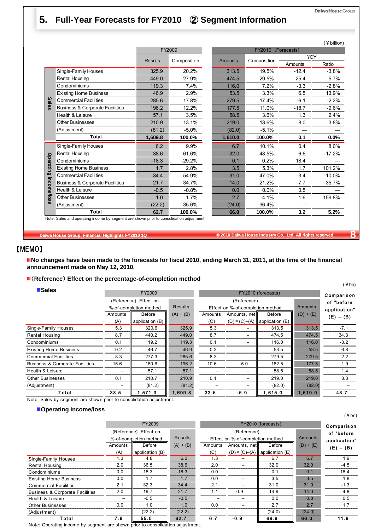# 5**. Full-Year Forecasts for FY2010** ② **Segment Information**

|              |                                            |         |             |         |                    |            | (¥ billion) |
|--------------|--------------------------------------------|---------|-------------|---------|--------------------|------------|-------------|
|              |                                            |         | FY2009      |         | FY2010 (Forecasts) |            |             |
|              |                                            | Results | Composition | Amounts | Composition        | <b>YOY</b> |             |
|              |                                            |         |             |         |                    | Amounts    | Ratio       |
|              | Single-Family Houses                       | 325.9   | 20.2%       | 313.5   | 19.5%              | $-12.4$    | $-3.8%$     |
|              | Rental Housing                             | 449.0   | 27.9%       | 474.5   | 29.5%              | 25.4       | 5.7%        |
|              | Condominiums                               | 119.3   | 7.4%        | 116.0   | 7.2%               | $-3.3$     | $-2.8%$     |
|              | <b>Existing Home Business</b>              | 46.9    | 2.9%        | 53.5    | 3.3%               | 6.5        | 13.9%       |
| <b>Sales</b> | <b>Commercial Facilities</b>               | 285.6   | 17.8%       | 279.5   | 17.4%              | $-6.1$     | $-2.2%$     |
|              | <b>Business &amp; Corporate Facilities</b> | 196.2   | 12.2%       | 177.5   | 11.0%              | $-18.7$    | $-9.6%$     |
|              | Health & Leisure                           | 57.1    | 3.5%        | 58.5    | 3.6%               | 1.3        | 2.4%        |
|              | <b>Other Businesses</b>                    | 210.9   | 13.1%       | 219.0   | 13.6%              | 8.0        | 3.8%        |
|              | (Adjustment)                               | (81.2)  | $-5.0%$     | (82.0)  | $-5.1%$            |            |             |
|              | <b>Total</b>                               | 1,609.8 | 100.0%      | 1,610.0 | 100.0%             | 0.1        | $0.0\%$     |
|              | Single-Family Houses                       | 6.2     | 9.9%        | 6.7     | 10.1%              | 0.4        | 8.0%        |
|              | <b>Rental Housing</b>                      | 38.6    | 61.6%       | 32.0    | 48.5%              | $-6.6$     | $-17.2%$    |
|              | Condominiums                               | $-18.3$ | $-29.2%$    | 0.1     | 0.2%               | 18.4       |             |
| Operating    | <b>Existing Home Business</b>              | 1.7     | 2.8%        | 3.5     | 5.3%               | 1.7        | 101.2%      |
|              | <b>Commercial Facilities</b>               | 34.4    | 54.9%       | 31.0    | 47.0%              | $-3.4$     | $-10.0%$    |
|              | <b>Business &amp; Corporate Facilities</b> | 21.7    | 34.7%       | 14.0    | 21.2%              | $-7.7$     | $-35.7%$    |
|              | Health & Leisure                           | $-0.5$  | $-0.8%$     | 0.0     | 0.0%               | 0.5        |             |
| income/loss  | <b>Other Businesses</b>                    | 1.0     | 1.7%        | 2.7     | 4.1%               | 1.6        | 159.8%      |
|              | (Adjustment)                               | (22.2)  | $-35.6%$    | (24.0)  | $-36.4%$           |            |             |
|              | <b>Total</b>                               | 62.7    | 100.0%      | 66.0    | 100.0%             | 3.2        | 5.2%        |

Note: Sales and operating income by segment are shown prior to consolidation adjustment.

**Daiwa House Group: Financial Highlights FY2010 1Q © 2010 Daiwa House Industry Co., Ltd. All rights reserved. 8**

### 【MEMO】

■ No changes have been made to the forecasts for fiscal 2010, ending March 31, 2011, at the time of the financial **announcement made on May 12, 2010.** 

#### (**Reference**) **Effect on the percentage-of-completion method**

|                                            |                        |                 |                |         |                                  |                                     |             | (¥bn)        |
|--------------------------------------------|------------------------|-----------------|----------------|---------|----------------------------------|-------------------------------------|-------------|--------------|
| <b>Sales</b>                               |                        | FY2009          |                |         | FY2010 (forecasts)               |                                     | Comparison  |              |
|                                            | (Reference)            | Effect on       |                |         | (Reference)                      |                                     |             | of "before   |
|                                            | %-of-completion method |                 | <b>Results</b> |         | Effect on %-of-completion method |                                     | Amounts     | application" |
|                                            | Amounts                | Before          | $(A) + (B)$    | Amounts | Amounts, net                     | <b>Before</b>                       | $(D) + (E)$ | $(E) - (B)$  |
|                                            | (A)                    | application (B) |                | (C)     |                                  | $(D) = (C) - (A)$ application $(E)$ |             |              |
| Single-Family Houses                       | 5.3                    | 320.6           | 325.9          | 5.3     |                                  | 313.5                               | 313.5       | $-7.1$       |
| Rental Housing                             | 8.7                    | 440.2           | 449.0          | 8.7     | -                                | 474.5                               | 474.5       | 34.3         |
| Condominiums                               | 0.1                    | 119.2           | 119.3          | 0.1     |                                  | 116.0                               | 116.0       | $-3.2$       |
| <b>Existing Home Business</b>              | 0.2                    | 46.7            | 46.9           | 0.2     | -                                | 53.5                                | 53.5        | 6.8          |
| <b>Commercial Facilities</b>               | 8.3                    | 277.3           | 285.6          | 8.3     | -                                | 279.5                               | 279.5       | 2.2          |
| <b>Business &amp; Corporate Facilities</b> | 15.6                   | 180.6           | 196.2          | 10.6    | $-5.0$                           | 182.5                               | 177.5       | 1.9          |
| Health & Leisure                           |                        | 57.1            | 57.1           |         | $\overline{\phantom{0}}$         | 58.5                                | 58.5        | 1.4          |
| <b>Other Businesses</b>                    | 0.1                    | 210.7           | 210.9          | 0.1     | -                                | 219.0                               | 219.0       | 8.3          |
| (Adjustment)                               |                        | (81.2)          | (81.2)         |         |                                  | (82.0)                              | (82.0)      |              |
| Total                                      | 38.5                   | 1,571.3         | 1,609.8        | 33.5    | $-5.0$                           | 1,615.0                             | 1,610.0     | 43.7         |

Note: Sales by segment are shown prior to consolidation adjustment.

#### **Operating income/loss**

|                                            |                   | FY2009                 |             |         |                                  | FY2010 (forecasts)                  |             | Comparis    |
|--------------------------------------------|-------------------|------------------------|-------------|---------|----------------------------------|-------------------------------------|-------------|-------------|
|                                            |                   | (Reference) Effect on  |             |         | (Reference)                      |                                     |             | of "befor   |
|                                            |                   | %-of-completion method |             |         | Effect on %-of-completion method |                                     |             | applicatio  |
|                                            | Before<br>Amounts |                        | $(A) + (B)$ | Amounts | Amounts, net                     | Before                              | $(D) + (E)$ | $(E) - (B)$ |
|                                            | (A)               | application (B)        |             | (C)     |                                  | $(D) = (C) - (A)$ application $(E)$ |             |             |
| Single-Family Houses                       | 1.3               | 4.8                    | 6.2         | 1.3     |                                  | 6.7                                 | 6.7         | 1.9         |
| Rental Housing                             | 2.0               | 36.5                   | 38.6        | 2.0     |                                  | 32.0                                | 32.0        | $-4.5$      |
| Condominiums                               | 0.0               | $-18.3$                | $-18.3$     | 0.0     |                                  | 0.1                                 | 0.1         | 18.4        |
| <b>Existing Home Business</b>              | 0.0               | 1.7                    | 1.7         | 0.0     |                                  | 3.5                                 | 3.5         | 1.8         |
| <b>Commercial Facilities</b>               | 2.1               | 32.3                   | 34.4        | 2.1     |                                  | 31.0                                | 31.0        | $-1.3$      |
| <b>Business &amp; Corporate Facilities</b> | 2.0               | 19.7                   | 21.7        | 1.1     | $-0.9$                           | 14.9                                | 14.0        | $-4.8$      |
| Health & Leisure                           | -                 | $-0.5$                 | $-0.5$      |         |                                  | 0.0                                 | 0.0         | 0.5         |
| <b>Other Businesses</b>                    | 0.0               | 1.0                    | 1.0         | 0.0     |                                  | 2.7                                 | 2.7         | 1.7         |
| (Adjustment)                               | -                 | (22.2)                 | (22.2)      |         |                                  | (24.0)                              | (24.0)      |             |
| Total                                      | 7.6.              | 55.0                   | 62.7        | 6.7     | $-0.9$                           | 66.9                                | 66.0        | 11.9        |

|  |  |  | Note: Operating income by segment are shown prior to consolidation adjustment. |  |
|--|--|--|--------------------------------------------------------------------------------|--|
|  |  |  |                                                                                |  |

|                    |            | FY2009                 |                |         |                                  | FY2010 (forecasts) |                | Compari     |
|--------------------|------------|------------------------|----------------|---------|----------------------------------|--------------------|----------------|-------------|
|                    |            | (Reference) Effect on  |                |         | (Reference)                      |                    |                | of "befo    |
|                    |            | %-of-completion method | <b>Results</b> |         | Effect on %-of-completion method |                    | <b>Amounts</b> | applicati   |
|                    | Amounts    | Before                 | $(A) + (B)$    | Amounts | Amounts, net                     | Before             | $(D) + (E)$    | $(E) - (1)$ |
|                    | (A)        | application (B)        |                | (C)     | $(D) = (C) - (A)$                | application (E)    |                |             |
| Houses             | 1.3        | 4.8                    | 6.2            | 1.3     |                                  | 6.7                | 6.7            | 1.5         |
|                    | 2.0        | 36.5                   | 38.6           | 2.0     |                                  | 32.0               | 32.0           | $-4.5$      |
|                    | 0.0        | $-18.3$                | $-18.3$        | 0.0     |                                  | 0.1                | 0.1            | 18.4        |
| <b>Business</b>    | 0.0        | 1.7                    | 1.7            | 0.0     |                                  | 3.5                | 3.5            | 1.1         |
| acilities          | 2.1        | 32.3                   | 34.4           | 2.1     |                                  | 31.0               | 31.0           | $-1.3$      |
| rporate Facilities | 2.0        | 19.7                   | 21.7           | 1.1     | $-0.9$                           | 14.9               | 14.0           | $-4.1$      |
| re                 |            | $-0.5$                 | $-0.5$         |         |                                  | 0.0                | 0.0            | 0.5         |
| ses                | 0.0<br>1.0 |                        | 1.0            | 0.0     |                                  | 2.7                | 2.7            | 1.          |
|                    |            | (22.2)                 | (22.2)         |         |                                  | (24.0)             | (24.0)         |             |
| Total              | 7.6        | 55.0                   | 62.7           | 6.7     | $-0.9$                           | 66.9               | 66.0           | 11.9        |

(¥bn)

 $\blacksquare$  Comparison of "before application"  $(E) - (B)$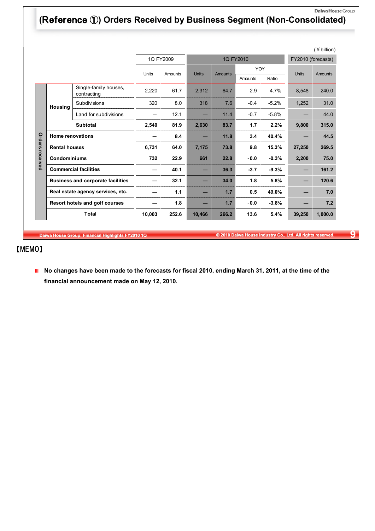# **(**Reference ①**) Orders Received by Business Segment (Non-Consolidated)**

|          |                         |                                          |                         |           |              |                |         |                    |              | $($ ¥ billion $)$ |
|----------|-------------------------|------------------------------------------|-------------------------|-----------|--------------|----------------|---------|--------------------|--------------|-------------------|
|          |                         |                                          |                         | 1Q FY2009 |              | 1Q FY2010      |         | FY2010 (forecasts) |              |                   |
|          |                         |                                          | <b>Units</b><br>Amounts |           | <b>Units</b> | <b>Amounts</b> | YOY     |                    | <b>Units</b> | Amounts           |
|          |                         |                                          |                         |           |              |                | Amounts | Ratio              |              |                   |
|          |                         | Single-family houses,<br>contracting     | 2,220                   | 61.7      | 2,312        | 64.7           | 2.9     | 4.7%               | 8,548        | 240.0             |
|          | Housina                 | Subdivisions                             | 320                     | 8.0       | 318          | 7.6            | $-0.4$  | $-5.2%$            | 1,252        | 31.0              |
|          |                         | Land for subdivisions                    |                         | 12.1      |              | 11.4           | $-0.7$  | $-5.8%$            |              | 44.0              |
|          |                         | <b>Subtotal</b>                          | 2,540                   | 81.9      | 2,630        | 83.7           | 1.7     | 2.2%               | 9,800        | 315.0             |
| Orders   | <b>Home renovations</b> |                                          |                         | 8.4       | -            | 11.8           | 3.4     | 40.4%              |              | 44.5              |
|          |                         | <b>Rental houses</b>                     |                         | 64.0      | 7,175        | 73.8           | 9.8     | 15.3%              | 27,250       | 269.5             |
| received | <b>Condominiums</b>     |                                          | 732                     | 22.9      | 661          | 22.8           | $-0.0$  | $-0.3%$            | 2,200        | 75.0              |
|          |                         | <b>Commercial facilities</b>             |                         | 40.1      | -            | 36.3           | $-3.7$  | $-9.3%$            |              | 161.2             |
|          |                         | <b>Business and corporate facilities</b> |                         | 32.1      | -            | 34.0           | 1.8     | 5.8%               |              | 120.6             |
|          |                         | Real estate agency services, etc.        |                         | 1.1       |              | 1.7            | 0.5     | 49.0%              |              | 7.0               |
|          |                         | Resort hotels and golf courses           |                         | 1.8       | –            | 1.7            | $-0.0$  | $-3.8%$            |              | 7.2               |
|          |                         | <b>Total</b>                             | 10,003                  | 252.6     | 10,466       | 266.2          | 13.6    | 5.4%               | 39,250       | 1,000.0           |

**Daiwa House Group: Financial Highlights FY2010 1Q © 2010 Daiwa House Industry Co., Ltd. All rights reserved. 9**

# 【MEMO】

■ No changes have been made to the forecasts for fiscal 2010, ending March 31, 2011, at the time of the **financial announcement made on May 12, 2010.**